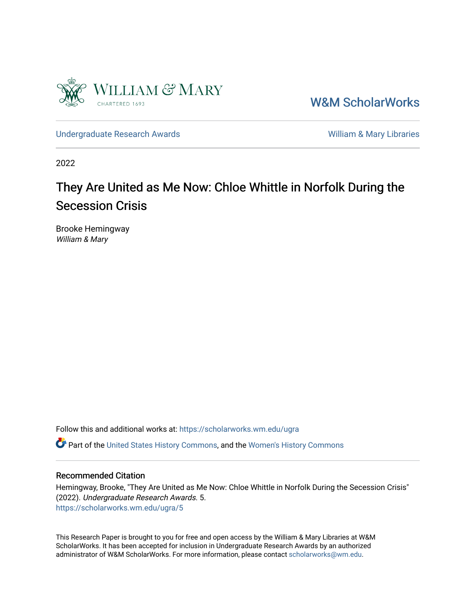

[W&M ScholarWorks](https://scholarworks.wm.edu/) 

[Undergraduate Research Awards](https://scholarworks.wm.edu/ugra) New York New York 2012 New York William & Mary Libraries

2022

## They Are United as Me Now: Chloe Whittle in Norfolk During the Secession Crisis

Brooke Hemingway William & Mary

Follow this and additional works at: [https://scholarworks.wm.edu/ugra](https://scholarworks.wm.edu/ugra?utm_source=scholarworks.wm.edu%2Fugra%2F5&utm_medium=PDF&utm_campaign=PDFCoverPages) 

Part of the [United States History Commons,](http://network.bepress.com/hgg/discipline/495?utm_source=scholarworks.wm.edu%2Fugra%2F5&utm_medium=PDF&utm_campaign=PDFCoverPages) and the [Women's History Commons](http://network.bepress.com/hgg/discipline/507?utm_source=scholarworks.wm.edu%2Fugra%2F5&utm_medium=PDF&utm_campaign=PDFCoverPages)

## Recommended Citation

Hemingway, Brooke, "They Are United as Me Now: Chloe Whittle in Norfolk During the Secession Crisis" (2022). Undergraduate Research Awards. 5. [https://scholarworks.wm.edu/ugra/5](https://scholarworks.wm.edu/ugra/5?utm_source=scholarworks.wm.edu%2Fugra%2F5&utm_medium=PDF&utm_campaign=PDFCoverPages) 

This Research Paper is brought to you for free and open access by the William & Mary Libraries at W&M ScholarWorks. It has been accepted for inclusion in Undergraduate Research Awards by an authorized administrator of W&M ScholarWorks. For more information, please contact [scholarworks@wm.edu.](mailto:scholarworks@wm.edu)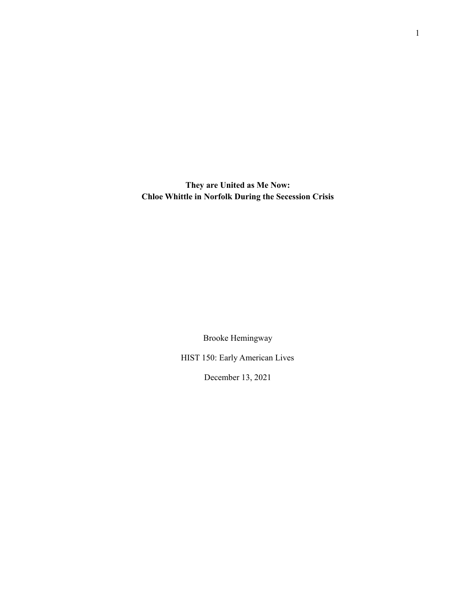**They are United as Me Now: Chloe Whittle in Norfolk During the Secession Crisis**

Brooke Hemingway

HIST 150: Early American Lives

December 13, 2021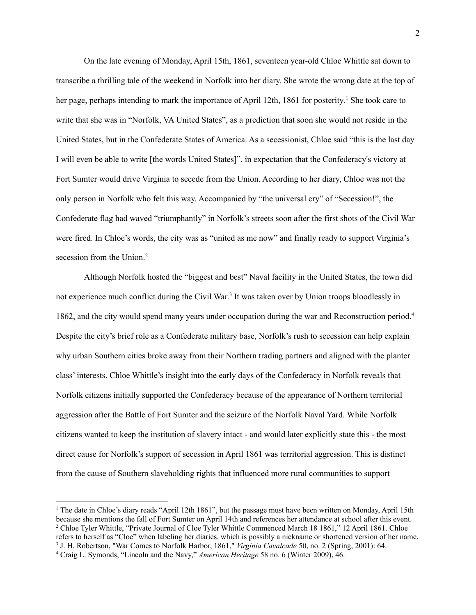On the late evening of Monday, April 15th, 1861, seventeen year-old Chloe Whittle sat down to transcribe a thrilling tale of the weekend in Norfolk into her diary. She wrote the wrong date at the top of her page, perhaps intending to mark the importance of April 12th, 1861 for posterity.<sup>1</sup> She took care to write that she was in "Norfolk, VA United States", as a prediction that soon she would not reside in the United States, but in the Confederate States of America. As a secessionist, Chloe said "this is the last day I will even be able to write [the words United States]", in expectation that the Confederacy's victory at Fort Sumter would drive Virginia to secede from the Union. According to her diary, Chloe was not the only person in Norfolk who felt this way. Accompanied by "the universal cry" of "Secession!", the Confederate flag had waved "triumphantly" in Norfolk's streets soon after the first shots of the Civil War were fired. In Chloe's words, the city was as "united as me now" and finally ready to support Virginia's secession from the Union. 2

Although Norfolk hosted the "biggest and best" Naval facility in the United States, the town did not experience much conflict during the Civil War. 3 It was taken over by Union troops bloodlessly in 1862, and the city would spend many years under occupation during the war and Reconstruction period. 4 Despite the city's brief role as a Confederate military base, Norfolk's rush to secession can help explain why urban Southern cities broke away from their Northern trading partners and aligned with the planter class' interests. Chloe Whittle's insight into the early days of the Confederacy in Norfolk reveals that Norfolk citizens initially supported the Confederacy because of the appearance of Northern territorial aggression after the Battle of Fort Sumter and the seizure of the Norfolk Naval Yard. While Norfolk citizens wanted to keep the institution of slavery intact - and would later explicitly state this - the most direct cause for Norfolk's support of secession in April 1861 was territorial aggression. This is distinct from the cause of Southern slaveholding rights that influenced more rural communities to support

<sup>4</sup> Craig L. Symonds, "Lincoln and the Navy," *American Heritage* 58 no. 6 (Winter 2009), 46. <sup>3</sup> J. H. Robertson, "War Comes to Norfolk Harbor, 1861," *Virginia Cavalcade* 50, no. 2 (Spring, 2001): 64. <sup>2</sup> Chloe Tyler Whittle, "Private Journal of Cloe Tyler Whittle Commenced March 18 1861," 12 April 1861. Chloe refers to herself as "Cloe" when labeling her diaries, which is possibly a nickname or shortened version of her name. <sup>1</sup> The date in Chloe's diary reads "April 12th 1861", but the passage must have been written on Monday, April 15th because she mentions the fall of Fort Sumter on April 14th and references her attendance at school after this event.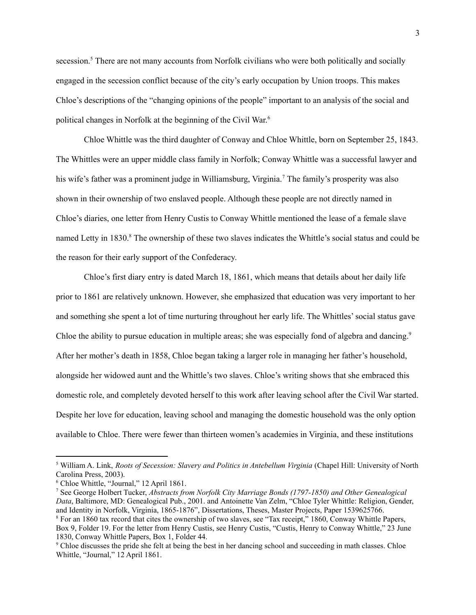secession.<sup>5</sup> There are not many accounts from Norfolk civilians who were both politically and socially engaged in the secession conflict because of the city's early occupation by Union troops. This makes Chloe's descriptions of the "changing opinions of the people" important to an analysis of the social and political changes in Norfolk at the beginning of the Civil War. 6

Chloe Whittle was the third daughter of Conway and Chloe Whittle, born on September 25, 1843. The Whittles were an upper middle class family in Norfolk; Conway Whittle was a successful lawyer and his wife's father was a prominent judge in Williamsburg, Virginia. <sup>7</sup> The family's prosperity was also shown in their ownership of two enslaved people. Although these people are not directly named in Chloe's diaries, one letter from Henry Custis to Conway Whittle mentioned the lease of a female slave named Letty in 1830.<sup>8</sup> The ownership of these two slaves indicates the Whittle's social status and could be the reason for their early support of the Confederacy.

Chloe's first diary entry is dated March 18, 1861, which means that details about her daily life prior to 1861 are relatively unknown. However, she emphasized that education was very important to her and something she spent a lot of time nurturing throughout her early life. The Whittles'social status gave Chloe the ability to pursue education in multiple areas; she was especially fond of algebra and dancing.<sup>9</sup> After her mother's death in 1858, Chloe began taking a larger role in managing her father's household, alongside her widowed aunt and the Whittle's two slaves. Chloe's writing shows that she embraced this domestic role, and completely devoted herself to this work after leaving school after the Civil War started. Despite her love for education, leaving school and managing the domestic household was the only option available to Chloe. There were fewer than thirteen women's academies in Virginia, and these institutions

<sup>5</sup> William A. Link, *Roots of Secession: Slavery and Politics in Antebellum Virginia* (Chapel Hill: University of North Carolina Press, 2003).

<sup>6</sup> Chloe Whittle, "Journal," 12 April 1861.

<sup>8</sup> For an 1860 tax record that cites the ownership of two slaves, see "Tax receipt," 1860, Conway Whittle Papers, Box 9, Folder 19. For the letter from Henry Custis, see Henry Custis, "Custis, Henry to Conway Whittle," 23 June 1830, Conway Whittle Papers, Box 1, Folder 44. <sup>7</sup> See George Holbert Tucker, *Abstracts from Norfolk City Marriage Bonds (1797-1850) and Other Genealogical Data*, Baltimore, MD: Genealogical Pub., 2001. and Antoinette Van Zelm, "Chloe Tyler Whittle: Religion, Gender, and Identity in Norfolk, Virginia, 1865-1876", Dissertations, Theses, Master Projects, Paper 1539625766.

<sup>&</sup>lt;sup>9</sup> Chloe discusses the pride she felt at being the best in her dancing school and succeeding in math classes. Chloe Whittle, "Journal," 12 April 1861.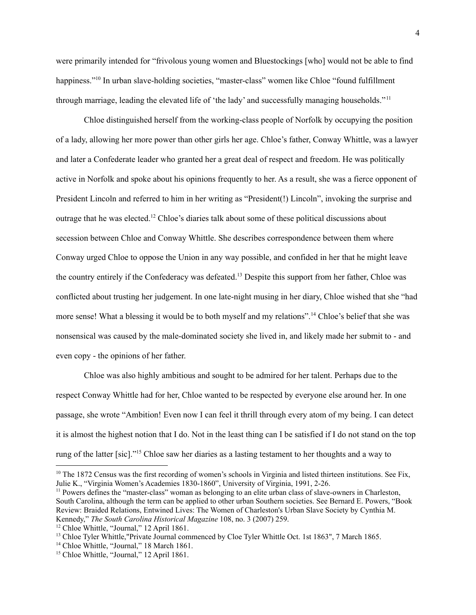were primarily intended for "frivolous young women and Bluestockings [who] would not be able to find happiness."<sup>10</sup> In urban slave-holding societies, "master-class" women like Chloe "found fulfillment through marriage, leading the elevated life of 'the lady' and successfully managing households."<sup>11</sup>

Chloe distinguished herself from the working-class people of Norfolk by occupying the position of a lady, allowing her more power than other girls her age. Chloe's father, Conway Whittle, was a lawyer and later a Confederate leader who granted her a great deal of respect and freedom. He was politically active in Norfolk and spoke about his opinions frequently to her. As a result, she was a fierce opponent of President Lincoln and referred to him in her writing as "President(!) Lincoln", invoking the surprise and outrage that he was elected.<sup>12</sup> Chloe's diaries talk about some of these political discussions about secession between Chloe and Conway Whittle. She describes correspondence between them where Conway urged Chloe to oppose the Union in any way possible, and confided in her that he might leave the country entirely if the Confederacy was defeated. <sup>13</sup> Despite this support from her father, Chloe was conflicted about trusting her judgement. In one late-night musing in her diary, Chloe wished that she "had more sense! What a blessing it would be to both myself and my relations".<sup>14</sup> Chloe's belief that she was nonsensical was caused by the male-dominated society she lived in, and likely made her submit to - and even copy - the opinions of her father.

Chloe was also highly ambitious and sought to be admired for her talent. Perhaps due to the respect Conway Whittle had for her, Chloe wanted to be respected by everyone else around her. In one passage, she wrote "Ambition! Even now I can feel it thrill through every atom of my being. I can detect it is almost the highest notion that I do. Not in the least thing can I be satisfied if I do not stand on the top rung of the latter [sic]."<sup>15</sup> Chloe saw her diaries as a lasting testament to her thoughts and a way to

<sup>&</sup>lt;sup>10</sup> The 1872 Census was the first recording of women's schools in Virginia and listed thirteen institutions. See Fix, Julie K., "Virginia Women's Academies 1830-1860", University of Virginia, 1991, 2-26.

<sup>&</sup>lt;sup>11</sup> Powers defines the "master-class" woman as belonging to an elite urban class of slave-owners in Charleston, South Carolina, although the term can be applied to other urban Southern societies. See Bernard E. Powers, "Book Review: Braided Relations, Entwined Lives: The Women of Charleston's Urban Slave Society by Cynthia M. Kennedy," *The South Carolina Historical Magazine* 108, no. 3 (2007) 259.

<sup>&</sup>lt;sup>12</sup> Chloe Whittle, "Journal," 12 April 1861.

<sup>&</sup>lt;sup>13</sup> Chloe Tyler Whittle,"Private Journal commenced by Cloe Tyler Whittle Oct. 1st 1863", 7 March 1865.

<sup>&</sup>lt;sup>14</sup> Chloe Whittle, "Journal," 18 March 1861.

<sup>&</sup>lt;sup>15</sup> Chloe Whittle, "Journal," 12 April 1861.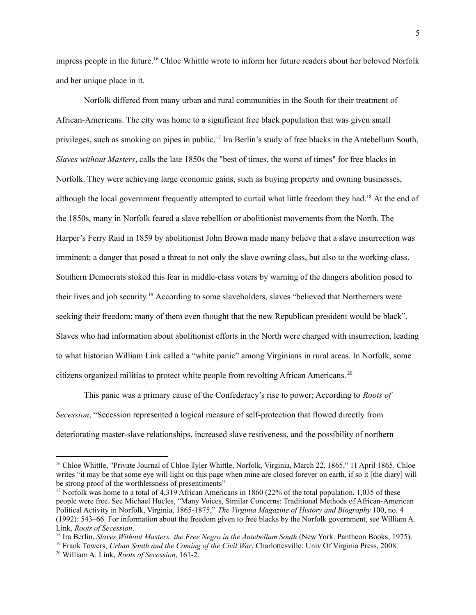impress people in the future. <sup>16</sup> Chloe Whittle wrote to inform her future readers about her beloved Norfolk and her unique place in it.

Norfolk differed from many urban and rural communities in the South for their treatment of African-Americans. The city was home to a significant free black population that was given small privileges, such as smoking on pipes in public.<sup>17</sup> Ira Berlin's study of free blacks in the Antebellum South, *Slaves without Masters*, calls the late 1850s the "best of times, the worst of times" for free blacks in Norfolk. They were achieving large economic gains, such as buying property and owning businesses, although the local government frequently attempted to curtail what little freedom they had.<sup>18</sup> At the end of the 1850s, many in Norfolk feared a slave rebellion or abolitionist movements from the North. The Harper's Ferry Raid in 1859 by abolitionist John Brown made many believe that a slave insurrection was imminent; a danger that posed a threat to not only the slave owning class, but also to the working-class. Southern Democrats stoked this fear in middle-class voters by warning of the dangers abolition posed to their lives and job security. <sup>19</sup> According to some slaveholders, slaves "believed that Northerners were seeking their freedom; many of them even thought that the new Republican president would be black". Slaves who had information about abolitionist efforts in the North were charged with insurrection, leading to what historian William Link called a "white panic" among Virginians in rural areas. In Norfolk, some citizens organized militias to protect white people from revolting African Americans. 20

This panic was a primary cause of the Confederacy's rise to power; According to *Roots of Secession*, "Secession represented a logical measure of self-protection that flowed directly from deteriorating master-slave relationships, increased slave restiveness, and the possibility of northern

<sup>19</sup> Frank Towers, *Urban South and the Coming of the Civil War*, Charlottesville: Univ Of Virginia Press, 2008.

<sup>&</sup>lt;sup>16</sup> Chloe Whittle, "Private Journal of Chloe Tyler Whittle, Norfolk, Virginia, March 22, 1865," 11 April 1865. Chloe writes "it may be that some eye will light on this page when mine are closed forever on earth, if so it [the diary] will be strong proof of the worthlessness of presentiments"

<sup>&</sup>lt;sup>17</sup> Norfolk was home to a total of 4.319 African Americans in 1860 (22% of the total population. 1,035 of these people were free. See Michael Hucles, "Many Voices, Similar Concerns: Traditional Methods of African-American Political Activity in Norfolk, Virginia, 1865-1875," *The Virginia Magazine of History and Biography* 100, no. 4 (1992): 543–66. For information about the freedom given to free blacks by the Norfolk government, see William A. Link, *Roots of Secession*.

<sup>18</sup> Ira Berlin, *Slaves Without Masters; the Free Negro in the Antebellum South* (New York: Pantheon Books, 1975).

<sup>20</sup> William A. Link, *Roots of Secession*, 161-2.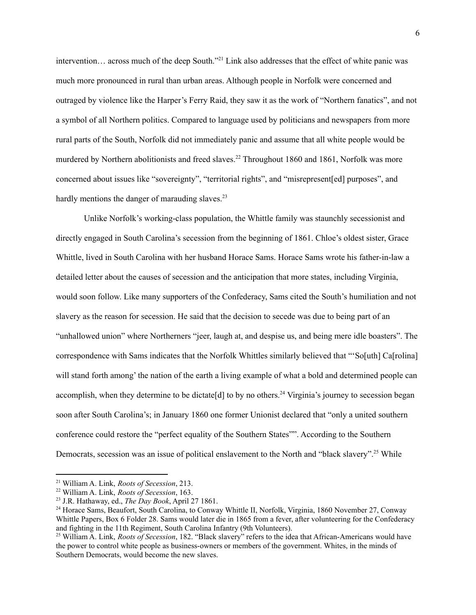intervention… across much of the deep South." <sup>21</sup> Link also addresses that the effect of white panic was much more pronounced in rural than urban areas. Although people in Norfolk were concerned and outraged by violence like the Harper's Ferry Raid, they saw it as the work of "Northern fanatics", and not a symbol of all Northern politics. Compared to language used by politicians and newspapers from more rural parts of the South, Norfolk did not immediately panic and assume that all white people would be murdered by Northern abolitionists and freed slaves.<sup>22</sup> Throughout 1860 and 1861, Norfolk was more concerned about issues like "sovereignty", "territorial rights", and "misrepresent[ed] purposes", and hardly mentions the danger of marauding slaves.<sup>23</sup>

Unlike Norfolk's working-class population, the Whittle family was staunchly secessionist and directly engaged in South Carolina's secession from the beginning of 1861. Chloe's oldest sister, Grace Whittle, lived in South Carolina with her husband Horace Sams. Horace Sams wrote his father-in-law a detailed letter about the causes of secession and the anticipation that more states, including Virginia, would soon follow. Like many supporters of the Confederacy, Sams cited the South's humiliation and not slavery as the reason for secession. He said that the decision to secede was due to being part of an "unhallowed union" where Northerners "jeer, laugh at, and despise us, and being mere idle boasters". The correspondence with Sams indicates that the Norfolk Whittles similarly believed that "'So[uth] Ca[rolina] will stand forth among' the nation of the earth a living example of what a bold and determined people can accomplish, when they determine to be dictate<sup>[d]</sup> to by no others.<sup>24</sup> Virginia's journey to secession began soon after South Carolina's; in January 1860 one former Unionist declared that "only a united southern conference could restore the "perfect equality of the Southern States"". According to the Southern Democrats, secession was an issue of political enslavement to the North and "black slavery".<sup>25</sup> While

<sup>21</sup> William A. Link, *Roots of Secession*, 213.

<sup>22</sup> William A. Link, *Roots of Secession*, 163.

<sup>23</sup> J.R. Hathaway, ed., *The Day Book*, April 27 1861.

<sup>&</sup>lt;sup>24</sup> Horace Sams, Beaufort, South Carolina, to Conway Whittle II, Norfolk, Virginia, 1860 November 27, Conway Whittle Papers, Box 6 Folder 28. Sams would later die in 1865 from a fever, after volunteering for the Confederacy and fighting in the 11th Regiment, South Carolina Infantry (9th Volunteers).

<sup>&</sup>lt;sup>25</sup> William A. Link, *Roots of Secession*, 182. "Black slavery" refers to the idea that African-Americans would have the power to control white people as business-owners or members of the government. Whites, in the minds of Southern Democrats, would become the new slaves.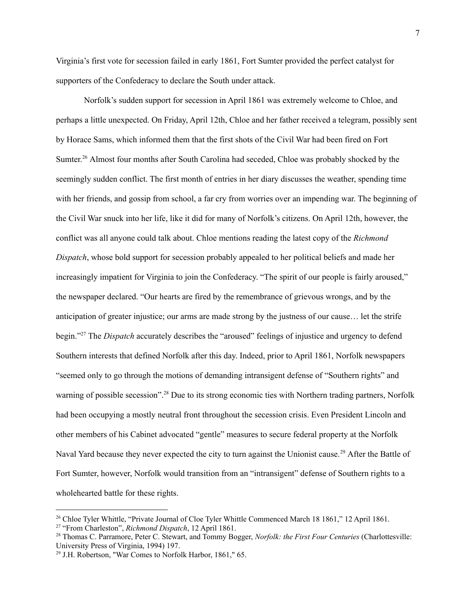Virginia's first vote for secession failed in early 1861, Fort Sumter provided the perfect catalyst for supporters of the Confederacy to declare the South under attack.

Norfolk's sudden support for secession in April 1861 was extremely welcome to Chloe, and perhaps a little unexpected. On Friday, April 12th, Chloe and her father received a telegram, possibly sent by Horace Sams, which informed them that the first shots of the Civil War had been fired on Fort Sumter.<sup>26</sup> Almost four months after South Carolina had seceded, Chloe was probably shocked by the seemingly sudden conflict. The first month of entries in her diary discusses the weather, spending time with her friends, and gossip from school, a far cry from worries over an impending war. The beginning of the Civil War snuck into her life, like it did for many of Norfolk's citizens. On April 12th, however, the conflict was all anyone could talk about. Chloe mentions reading the latest copy of the *Richmond Dispatch*, whose bold support for secession probably appealed to her political beliefs and made her increasingly impatient for Virginia to join the Confederacy. "The spirit of our people is fairly aroused," the newspaper declared. "Our hearts are fired by the remembrance of grievous wrongs, and by the anticipation of greater injustice; our arms are made strong by the justness of our cause… let the strife begin." <sup>27</sup> The *Dispatch* accurately describes the "aroused" feelings of injustice and urgency to defend Southern interests that defined Norfolk after this day. Indeed, prior to April 1861, Norfolk newspapers "seemed only to go through the motions of demanding intransigent defense of "Southern rights" and warning of possible secession".<sup>28</sup> Due to its strong economic ties with Northern trading partners, Norfolk had been occupying a mostly neutral front throughout the secession crisis. Even President Lincoln and other members of his Cabinet advocated "gentle" measures to secure federal property at the Norfolk Naval Yard because they never expected the city to turn against the Unionist cause.<sup>29</sup> After the Battle of Fort Sumter, however, Norfolk would transition from an "intransigent" defense of Southern rights to a wholehearted battle for these rights.

<sup>&</sup>lt;sup>26</sup> Chloe Tyler Whittle, "Private Journal of Cloe Tyler Whittle Commenced March 18 1861," 12 April 1861.

<sup>27</sup> "From Charleston", *Richmond Dispatch*, 12 April 1861.

<sup>28</sup> Thomas C. Parramore, Peter C. Stewart, and Tommy Bogger, *Norfolk: the First Four Centuries* (Charlottesville: University Press of Virginia, 1994) 197.

<sup>29</sup> J.H. Robertson, "War Comes to Norfolk Harbor, 1861," 65.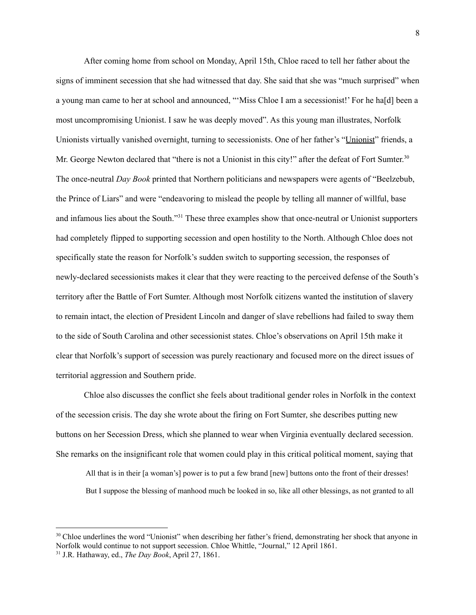After coming home from school on Monday, April 15th, Chloe raced to tell her father about the signs of imminent secession that she had witnessed that day. She said that she was "much surprised" when a young man came to her at school and announced, "'Miss Chloe I am a secessionist!' For he ha[d] been a most uncompromising Unionist. I saw he was deeply moved". As this young man illustrates, Norfolk Unionists virtually vanished overnight, turning to secessionists. One of her father's "Unionist" friends, a Mr. George Newton declared that "there is not a Unionist in this city!" after the defeat of Fort Sumter.<sup>30</sup> The once-neutral *Day Book* printed that Northern politicians and newspapers were agents of "Beelzebub, the Prince of Liars" and were "endeavoring to mislead the people by telling all manner of willful, base and infamous lies about the South."<sup>31</sup> These three examples show that once-neutral or Unionist supporters had completely flipped to supporting secession and open hostility to the North. Although Chloe does not specifically state the reason for Norfolk's sudden switch to supporting secession, the responses of newly-declared secessionists makes it clear that they were reacting to the perceived defense of the South's territory after the Battle of Fort Sumter. Although most Norfolk citizens wanted the institution of slavery to remain intact, the election of President Lincoln and danger of slave rebellions had failed to sway them to the side of South Carolina and other secessionist states. Chloe's observations on April 15th make it clear that Norfolk's support of secession was purely reactionary and focused more on the direct issues of territorial aggression and Southern pride.

Chloe also discusses the conflict she feels about traditional gender roles in Norfolk in the context of the secession crisis. The day she wrote about the firing on Fort Sumter, she describes putting new buttons on her Secession Dress, which she planned to wear when Virginia eventually declared secession. She remarks on the insignificant role that women could play in this critical political moment, saying that

All that is in their [a woman's] power is to put a few brand [new] buttons onto the front of their dresses! But I suppose the blessing of manhood much be looked in so, like all other blessings, as not granted to all

<sup>31</sup> J.R. Hathaway, ed., *The Day Book*, April 27, 1861. <sup>30</sup> Chloe underlines the word "Unionist" when describing her father's friend, demonstrating her shock that anyone in Norfolk would continue to not support secession. Chloe Whittle, "Journal," 12 April 1861.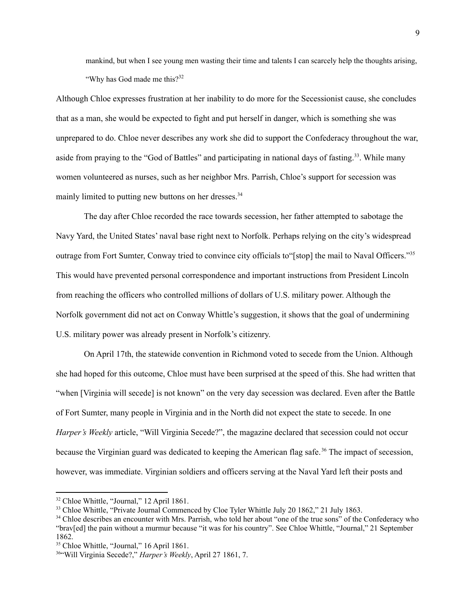mankind, but when I see young men wasting their time and talents I can scarcely help the thoughts arising, "Why has God made me this?<sup>32</sup>

Although Chloe expresses frustration at her inability to do more for the Secessionist cause, she concludes that as a man, she would be expected to fight and put herself in danger, which is something she was unprepared to do. Chloe never describes any work she did to support the Confederacy throughout the war, aside from praying to the "God of Battles" and participating in national days of fasting.<sup>33</sup>. While many women volunteered as nurses, such as her neighbor Mrs. Parrish, Chloe's support for secession was mainly limited to putting new buttons on her dresses.<sup>34</sup>

The day after Chloe recorded the race towards secession, her father attempted to sabotage the Navy Yard, the United States' naval base right next to Norfolk. Perhaps relying on the city's widespread outrage from Fort Sumter, Conway tried to convince city officials to "[stop] the mail to Naval Officers."<sup>35</sup> This would have prevented personal correspondence and important instructions from President Lincoln from reaching the officers who controlled millions of dollars of U.S. military power. Although the Norfolk government did not act on Conway Whittle's suggestion, it shows that the goal of undermining U.S. military power was already present in Norfolk's citizenry.

On April 17th, the statewide convention in Richmond voted to secede from the Union. Although she had hoped for this outcome, Chloe must have been surprised at the speed of this. She had written that "when [Virginia will secede] is not known" on the very day secession was declared. Even after the Battle of Fort Sumter, many people in Virginia and in the North did not expect the state to secede. In one *Harper's Weekly* article, "Will Virginia Secede?", the magazine declared that secession could not occur because the Virginian guard was dedicated to keeping the American flag safe.<sup>36</sup> The impact of secession, however, was immediate. Virginian soldiers and officers serving at the Naval Yard left their posts and

<sup>32</sup> Chloe Whittle, "Journal," 12 April 1861.

<sup>&</sup>lt;sup>33</sup> Chloe Whittle, "Private Journal Commenced by Cloe Tyler Whittle July 20 1862," 21 July 1863.

<sup>&</sup>lt;sup>34</sup> Chloe describes an encounter with Mrs. Parrish, who told her about "one of the true sons" of the Confederacy who "brav[ed] the pain without a murmur because "it was for his country". See Chloe Whittle, "Journal," 21 September 1862.

<sup>&</sup>lt;sup>35</sup> Chloe Whittle, "Journal," 16 April 1861.

<sup>36</sup>"Will Virginia Secede?," *Harper's Weekly*, April 27 1861, 7.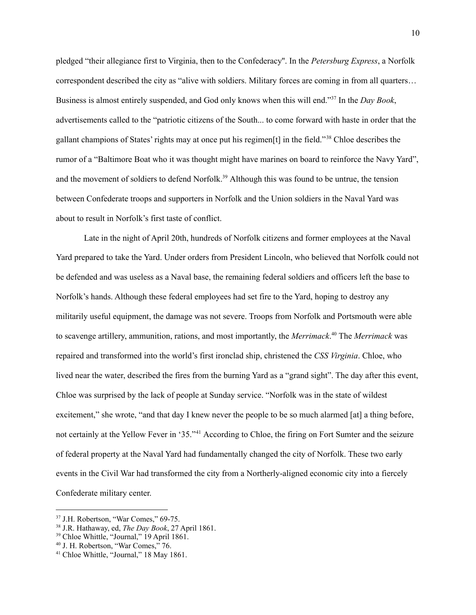pledged "their allegiance first to Virginia, then to the Confederacy''. In the *Petersburg Express*, a Norfolk correspondent described the city as "alive with soldiers. Military forces are coming in from all quarters… Business is almost entirely suspended, and God only knows when this will end." 37 In the *Day Book*, advertisements called to the "patriotic citizens of the South... to come forward with haste in order that the gallant champions of States' rights may at once put his regimen[t] in the field." <sup>38</sup> Chloe describes the rumor of a "Baltimore Boat who it was thought might have marines on board to reinforce the Navy Yard", and the movement of soldiers to defend Norfolk.<sup>39</sup> Although this was found to be untrue, the tension between Confederate troops and supporters in Norfolk and the Union soldiers in the Naval Yard was about to result in Norfolk's first taste of conflict.

Late in the night of April 20th, hundreds of Norfolk citizens and former employees at the Naval Yard prepared to take the Yard. Under orders from President Lincoln, who believed that Norfolk could not be defended and was useless as a Naval base, the remaining federal soldiers and officers left the base to Norfolk's hands. Although these federal employees had set fire to the Yard, hoping to destroy any militarily useful equipment, the damage was not severe. Troops from Norfolk and Portsmouth were able to scavenge artillery, ammunition, rations, and most importantly, the *Merrimack*. <sup>40</sup> The *Merrimack* was repaired and transformed into the world's first ironclad ship, christened the *CSS Virginia*. Chloe, who lived near the water, described the fires from the burning Yard as a "grand sight". The day after this event, Chloe was surprised by the lack of people at Sunday service. "Norfolk was in the state of wildest excitement," she wrote, "and that day I knew never the people to be so much alarmed [at] a thing before, not certainly at the Yellow Fever in '35." <sup>41</sup> According to Chloe, the firing on Fort Sumter and the seizure of federal property at the Naval Yard had fundamentally changed the city of Norfolk. These two early events in the Civil War had transformed the city from a Northerly-aligned economic city into a fiercely Confederate military center.

<sup>37</sup> J.H. Robertson, "War Comes," 69-75.

<sup>38</sup> J.R. Hathaway, ed, *The Day Book*, 27 April 1861.

<sup>39</sup> Chloe Whittle, "Journal," 19 April 1861.

<sup>40</sup> J. H. Robertson, "War Comes," 76.

<sup>41</sup> Chloe Whittle, "Journal," 18 May 1861.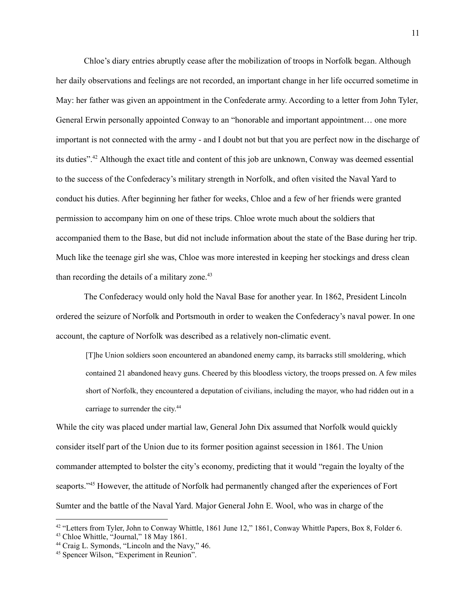Chloe's diary entries abruptly cease after the mobilization of troops in Norfolk began. Although her daily observations and feelings are not recorded, an important change in her life occurred sometime in May: her father was given an appointment in the Confederate army. According to a letter from John Tyler, General Erwin personally appointed Conway to an "honorable and important appointment… one more important is not connected with the army - and I doubt not but that you are perfect now in the discharge of its duties". <sup>42</sup> Although the exact title and content of this job are unknown, Conway was deemed essential to the success of the Confederacy's military strength in Norfolk, and often visited the Naval Yard to conduct his duties. After beginning her father for weeks, Chloe and a few of her friends were granted permission to accompany him on one of these trips. Chloe wrote much about the soldiers that accompanied them to the Base, but did not include information about the state of the Base during her trip. Much like the teenage girl she was, Chloe was more interested in keeping her stockings and dress clean than recording the details of a military zone.<sup>43</sup>

The Confederacy would only hold the Naval Base for another year. In 1862, President Lincoln ordered the seizure of Norfolk and Portsmouth in order to weaken the Confederacy's naval power. In one account, the capture of Norfolk was described as a relatively non-climatic event.

[T]he Union soldiers soon encountered an abandoned enemy camp, its barracks still smoldering, which contained 21 abandoned heavy guns. Cheered by this bloodless victory, the troops pressed on. A few miles short of Norfolk, they encountered a deputation of civilians, including the mayor, who had ridden out in a carriage to surrender the city. 44

While the city was placed under martial law, General John Dix assumed that Norfolk would quickly consider itself part of the Union due to its former position against secession in 1861. The Union commander attempted to bolster the city's economy, predicting that it would "regain the loyalty of the seaports."<sup>45</sup> However, the attitude of Norfolk had permanently changed after the experiences of Fort Sumter and the battle of the Naval Yard. Major General John E. Wool, who was in charge of the

<sup>&</sup>lt;sup>42</sup> "Letters from Tyler, John to Conway Whittle, 1861 June 12," 1861, Conway Whittle Papers, Box 8, Folder 6.

<sup>43</sup> Chloe Whittle, "Journal," 18 May 1861.

<sup>44</sup> Craig L. Symonds, "Lincoln and the Navy," 46.

<sup>45</sup> Spencer Wilson, "Experiment in Reunion".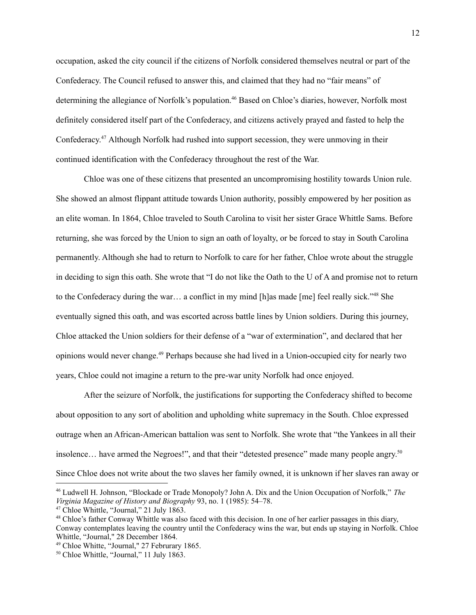occupation, asked the city council if the citizens of Norfolk considered themselves neutral or part of the Confederacy. The Council refused to answer this, and claimed that they had no "fair means" of determining the allegiance of Norfolk's population. <sup>46</sup> Based on Chloe's diaries, however, Norfolk most definitely considered itself part of the Confederacy, and citizens actively prayed and fasted to help the Confederacy. <sup>47</sup> Although Norfolk had rushed into support secession, they were unmoving in their continued identification with the Confederacy throughout the rest of the War.

Chloe was one of these citizens that presented an uncompromising hostility towards Union rule. She showed an almost flippant attitude towards Union authority, possibly empowered by her position as an elite woman. In 1864, Chloe traveled to South Carolina to visit her sister Grace Whittle Sams. Before returning, she was forced by the Union to sign an oath of loyalty, or be forced to stay in South Carolina permanently. Although she had to return to Norfolk to care for her father, Chloe wrote about the struggle in deciding to sign this oath. She wrote that "I do not like the Oath to the U of A and promise not to return to the Confederacy during the war… a conflict in my mind [h]as made [me] feel really sick." <sup>48</sup> She eventually signed this oath, and was escorted across battle lines by Union soldiers. During this journey, Chloe attacked the Union soldiers for their defense of a "war of extermination", and declared that her opinions would never change. <sup>49</sup> Perhaps because she had lived in a Union-occupied city for nearly two years, Chloe could not imagine a return to the pre-war unity Norfolk had once enjoyed.

After the seizure of Norfolk, the justifications for supporting the Confederacy shifted to become about opposition to any sort of abolition and upholding white supremacy in the South. Chloe expressed outrage when an African-American battalion was sent to Norfolk. She wrote that "the Yankees in all their insolence... have armed the Negroes!", and that their "detested presence" made many people angry.<sup>50</sup> Since Chloe does not write about the two slaves her family owned, it is unknown if her slaves ran away or

<sup>46</sup> Ludwell H. Johnson, "Blockade or Trade Monopoly? John A. Dix and the Union Occupation of Norfolk," *The Virginia Magazine of History and Biography* 93, no. 1 (1985): 54–78.

<sup>47</sup> Chloe Whittle, "Journal," 21 July 1863.

 $48$  Chloe's father Conway Whittle was also faced with this decision. In one of her earlier passages in this diary, Conway contemplates leaving the country until the Confederacy wins the war, but ends up staying in Norfolk. Chloe Whittle, "Journal," 28 December 1864.

<sup>49</sup> Chloe Whitte, "Journal," 27 Februrary 1865.

<sup>50</sup> Chloe Whittle, "Journal," 11 July 1863.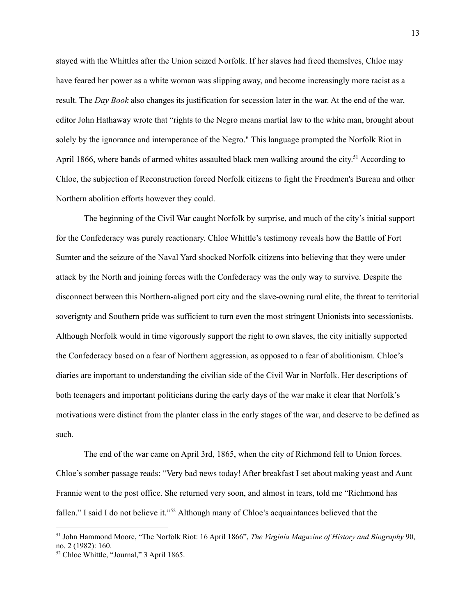stayed with the Whittles after the Union seized Norfolk. If her slaves had freed themslves, Chloe may have feared her power as a white woman was slipping away, and become increasingly more racist as a result. The *Day Book* also changes its justification for secession later in the war. At the end of the war, editor John Hathaway wrote that "rights to the Negro means martial law to the white man, brought about solely by the ignorance and intemperance of the Negro." This language prompted the Norfolk Riot in April 1866, where bands of armed whites assaulted black men walking around the city.<sup>51</sup> According to Chloe, the subjection of Reconstruction forced Norfolk citizens to fight the Freedmen's Bureau and other Northern abolition efforts however they could.

The beginning of the Civil War caught Norfolk by surprise, and much of the city's initial support for the Confederacy was purely reactionary. Chloe Whittle's testimony reveals how the Battle of Fort Sumter and the seizure of the Naval Yard shocked Norfolk citizens into believing that they were under attack by the North and joining forces with the Confederacy was the only way to survive. Despite the disconnect between this Northern-aligned port city and the slave-owning rural elite, the threat to territorial soverignty and Southern pride was sufficient to turn even the most stringent Unionists into secessionists. Although Norfolk would in time vigorously support the right to own slaves, the city initially supported the Confederacy based on a fear of Northern aggression, as opposed to a fear of abolitionism. Chloe's diaries are important to understanding the civilian side of the Civil War in Norfolk. Her descriptions of both teenagers and important politicians during the early days of the war make it clear that Norfolk's motivations were distinct from the planter class in the early stages of the war, and deserve to be defined as such.

The end of the war came on April 3rd, 1865, when the city of Richmond fell to Union forces. Chloe's somber passage reads: "Very bad news today! After breakfast I set about making yeast and Aunt Frannie went to the post office. She returned very soon, and almost in tears, told me "Richmond has fallen." I said I do not believe it."<sup>52</sup> Although many of Chloe's acquaintances believed that the

<sup>51</sup> John Hammond Moore, "The Norfolk Riot: 16 April 1866", *The Virginia Magazine of History and Biography* 90, no. 2 (1982): 160.

<sup>52</sup> Chloe Whittle, "Journal," 3 April 1865.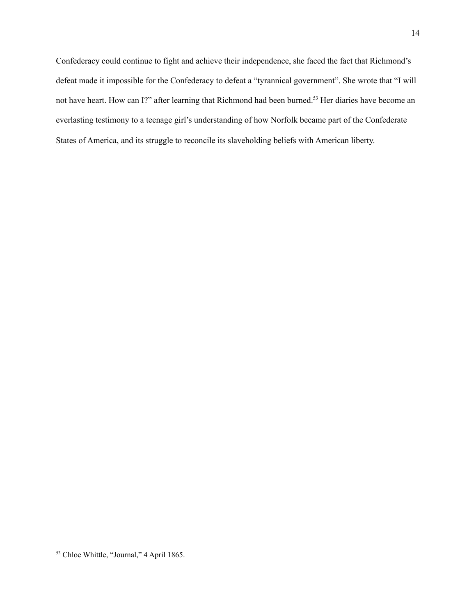Confederacy could continue to fight and achieve their independence, she faced the fact that Richmond's defeat made it impossible for the Confederacy to defeat a "tyrannical government". She wrote that "I will not have heart. How can I?" after learning that Richmond had been burned. <sup>53</sup> Her diaries have become an everlasting testimony to a teenage girl's understanding of how Norfolk became part of the Confederate States of America, and its struggle to reconcile its slaveholding beliefs with American liberty.

<sup>53</sup> Chloe Whittle, "Journal," 4 April 1865.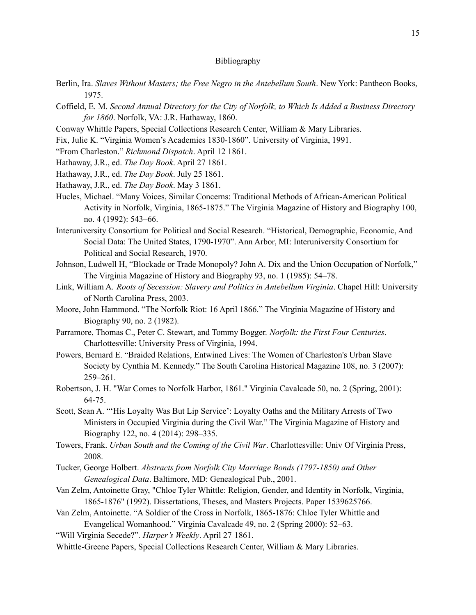## Bibliography

- Berlin, Ira. *Slaves Without Masters; the Free Negro in the Antebellum South*. New York: Pantheon Books, 1975.
- Coffield, E. M. *Second Annual Directory for the City of Norfolk, to Which Is Added a Business Directory for 1860*. Norfolk, VA: J.R. Hathaway, 1860.
- Conway Whittle Papers, Special Collections Research Center, William & Mary Libraries.
- Fix, Julie K. "Virginia Women's Academies 1830-1860". University of Virginia, 1991.
- "From Charleston." *Richmond Dispatch*. April 12 1861.
- Hathaway, J.R., ed. *The Day Book*. April 27 1861.
- Hathaway, J.R., ed. *The Day Book*. July 25 1861.
- Hathaway, J.R., ed. *The Day Book*. May 3 1861.
- Hucles, Michael. "Many Voices, Similar Concerns: Traditional Methods of African-American Political Activity in Norfolk, Virginia, 1865-1875." The Virginia Magazine of History and Biography 100, no. 4 (1992): 543–66.
- Interuniversity Consortium for Political and Social Research. "Historical, Demographic, Economic, And Social Data: The United States, 1790-1970". Ann Arbor, MI: Interuniversity Consortium for Political and Social Research, 1970.
- Johnson, Ludwell H, "Blockade or Trade Monopoly? John A. Dix and the Union Occupation of Norfolk," The Virginia Magazine of History and Biography 93, no. 1 (1985): 54–78.
- Link, William A. *Roots of Secession: Slavery and Politics in Antebellum Virginia*. Chapel Hill: University of North Carolina Press, 2003.
- Moore, John Hammond. "The Norfolk Riot: 16 April 1866." The Virginia Magazine of History and Biography 90, no. 2 (1982).
- Parramore, Thomas C., Peter C. Stewart, and Tommy Bogger. *Norfolk: the First Four Centuries*. Charlottesville: University Press of Virginia, 1994.
- Powers, Bernard E. "Braided Relations, Entwined Lives: The Women of Charleston's Urban Slave Society by Cynthia M. Kennedy." The South Carolina Historical Magazine 108, no. 3 (2007): 259–261.
- Robertson, J. H. "War Comes to Norfolk Harbor, 1861." Virginia Cavalcade 50, no. 2 (Spring, 2001): 64-75.
- Scott, Sean A. "'His Loyalty Was But Lip Service': Loyalty Oaths and the Military Arrests of Two Ministers in Occupied Virginia during the Civil War." The Virginia Magazine of History and Biography 122, no. 4 (2014): 298–335.
- Towers, Frank. *Urban South and the Coming of the Civil War*. Charlottesville: Univ Of Virginia Press, 2008.
- Tucker, George Holbert. *Abstracts from Norfolk City Marriage Bonds (1797-1850) and Other Genealogical Data*. Baltimore, MD: Genealogical Pub., 2001.
- Van Zelm, Antoinette Gray, "Chloe Tyler Whittle: Religion, Gender, and Identity in Norfolk, Virginia, 1865-1876" (1992). Dissertations, Theses, and Masters Projects. Paper 1539625766.
- Van Zelm, Antoinette. "A Soldier of the Cross in Norfolk, 1865-1876: Chloe Tyler Whittle and Evangelical Womanhood." Virginia Cavalcade 49, no. 2 (Spring 2000): 52–63.
- "Will Virginia Secede?". *Harper's Weekly*. April 27 1861.
- Whittle-Greene Papers, Special Collections Research Center, William & Mary Libraries.